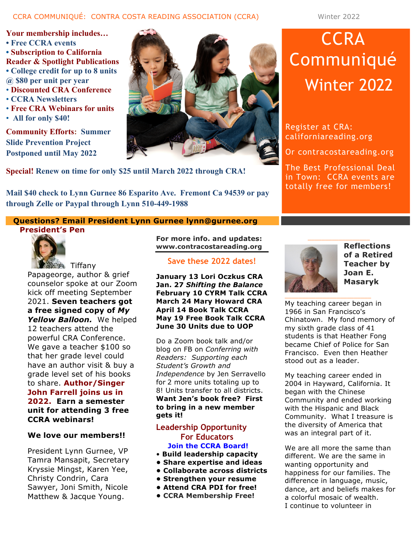## CCRA COMMUNIQUÉ: CONTRA COSTA READING ASSOCIATION (CCRA) Winter 2022

**Your membership includes… • Free CCRA events • Subscription to California Reader & Spotlight Publications • College credit for up to 8 units @ \$80 per unit per year** • **Discounted CRA Conference** • **CCRA Newsletters** • **Free CRA Webinars for units**

• **All for only \$40!**

**Community Efforts: Summer Slide Prevention Project Postponed until May 2022**



**Special! Renew on time for only \$25 until March 2022 through CRA!**

**Mail \$40 check to Lynn Gurnee 86 Esparito Ave. Fremont Ca 94539 or pay through Zelle or Paypal through Lynn 510-449-1988**

# **CCRA** Communiqué Winter 2022

Register at CRA: californiareading.org

Or contracostareading.org

The Best Professional Deal in Town: CCRA events are totally free for members!

## **Questions? Email President Lynn Gurnee lynn@gurnee.org**

## **President's Pen**



Papageorge, author & grief counselor spoke at our Zoom kick off meeting September 2021. **Seven teachers got a free signed copy of** *My Yellow Balloon.* We helped 12 teachers attend the powerful CRA Conference. We gave a teacher \$100 so that her grade level could have an author visit & buy a grade level set of his books to share. **Author/Singer John Farrell joins us in 2022. Earn a semester unit for attending 3 free CCRA webinars!**

#### **We love our members!!**

President Lynn Gurnee, VP Tamra Mansapit, Secretary Kryssie Mingst, Karen Yee, Christy Condrin, Cara Sawyer, Joni Smith, Nicole Matthew & Jacque Young.

**For more info. and updates: www.contracostareading.org**

**Save these 2022 dates!**

**January 13 Lori Oczkus CRA Jan. 27** *Shifting the Balance* **February 10 CYRM Talk CCRA March 24 Mary Howard CRA April 14 Book Talk CCRA May 19 Free Book Talk CCRA June 30 Units due to UOP**

Do a Zoom book talk and/or blog on FB on *Conferring with Readers: Supporting each Student's Growth and Independence* by Jen Serravello for 2 more units totaling up to 8! Units transfer to all districts. **Want Jen's book free? First to bring in a new member gets it!**

## **Leadership Opportunity For Educators Join the CCRA Board!**

- **Build leadership capacity**
- **Share expertise and ideas**
- **Collaborate across districts**
- **Strengthen your resume**
- **Attend CRA PDI for free!**
- **CCRA Membership Free!**



**Reflections of a Retired Teacher by Joan E. Masaryk**

My teaching career began in 1966 in San Francisco's Chinatown. My fond memory of my sixth grade class of 41 students is that Heather Fong became Chief of Police for San Francisco. Even then Heather stood out as a leader.

My teaching career ended in 2004 in Hayward, California. It began with the Chinese Community and ended working with the Hispanic and Black Community. What I treasure is the diversity of America that was an integral part of it.

We are all more the same than different. We are the same in wanting opportunity and happiness for our families. The difference in language, music, dance, art and beliefs makes for a colorful mosaic of wealth. I continue to volunteer in